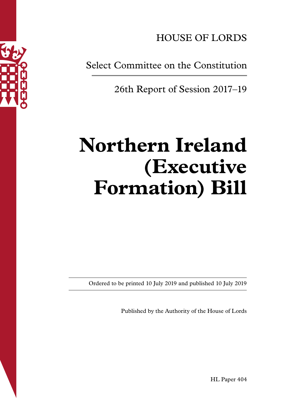

HOUSE OF LORDS

Select Committee on the Constitution

26th Report of Session 2017–19

# **Northern Ireland (Executive Formation) Bill**

Ordered to be printed 10 July 2019 and published 10 July 2019

Published by the Authority of the House of Lords

HL Paper 404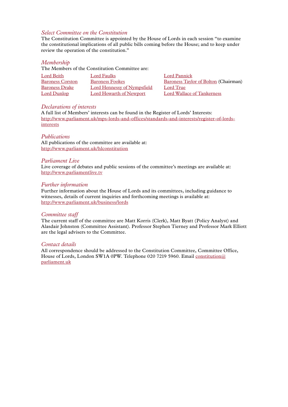# *Select Committee on the Constitution*

The Constitution Committee is appointed by the House of Lords in each session "to examine the constitutional implications of all public bills coming before the House; and to keep under review the operation of the constitution."

## *Membership*

The Members of the Constitution Committee are:

| Lord Beith              | Lord Faulks                 | Lord Pannick                                |
|-------------------------|-----------------------------|---------------------------------------------|
| <b>Baroness Corston</b> | <b>Baroness Fookes</b>      | <b>Baroness Taylor of Bolton (Chairman)</b> |
| <b>Baroness Drake</b>   | Lord Hennessy of Nympsfield | Lord True                                   |
| Lord Dunlop             | Lord Howarth of Newport     | Lord Wallace of Tankerness                  |

#### *Declarations of interests*

A full list of Members' interests can be found in the Register of Lords' Interests: [http://www.parliament.uk/mps-lords-and-offices/standards-and-interests/register-of-lords](http://www.parliament.uk/mps-lords-and-offices/standards-and-interests/register-of-lords-interests)[interests](http://www.parliament.uk/mps-lords-and-offices/standards-and-interests/register-of-lords-interests)

#### *Publications*

All publications of the committee are available at: <http://www.parliament.uk/hlconstitution>

#### *Parliament Live*

Live coverage of debates and public sessions of the committee's meetings are available at: <http://www.parliamentlive.tv>

#### *Further information*

Further information about the House of Lords and its committees, including guidance to witnesses, details of current inquiries and forthcoming meetings is available at: <http://www.parliament.uk/business/lords>

#### *Committee staff*

The current staff of the committee are Matt Korris (Clerk), Matt Byatt (Policy Analyst) and Alasdair Johnston (Committee Assistant). Professor Stephen Tierney and Professor Mark Elliott are the legal advisers to the Committee.

## *Contact details*

All correspondence should be addressed to the Constitution Committee, Committee Office, House of Lords, London SW1A 0PW. Telephone 020 7219 5960. Email [constitution@](mailto:constitution@parliament.uk) [parliament.uk](mailto:constitution@parliament.uk)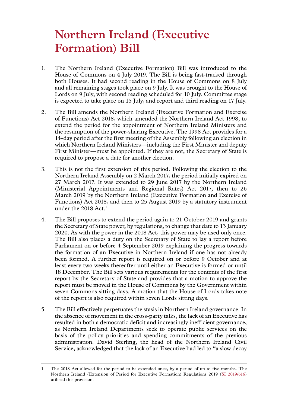# **Northern Ireland (Executive Formation) Bill**

- 1. The Northern Ireland (Executive Formation) Bill was introduced to the House of Commons on 4 July 2019. The Bill is being fast-tracked through both Houses. It had second reading in the House of Commons on 8 July and all remaining stages took place on 9 July. It was brought to the House of Lords on 9 July, with second reading scheduled for 10 July. Committee stage is expected to take place on 15 July, and report and third reading on 17 July.
- 2. The Bill amends the Northern Ireland (Executive Formation and Exercise of Functions) Act 2018, which amended the Northern Ireland Act 1998, to extend the period for the appointment of Northern Ireland Ministers and the resumption of the power-sharing Executive. The 1998 Act provides for a 14-day period after the first meeting of the Assembly following an election in which Northern Ireland Ministers—including the First Minister and deputy First Minister—must be appointed. If they are not, the Secretary of State is required to propose a date for another election.
- 3. This is not the first extension of this period. Following the election to the Northern Ireland Assembly on 2 March 2017, the period initially expired on 27 March 2017. It was extended to 29 June 2017 by the Northern Ireland (Ministerial Appointments and Regional Rates) Act 2017, then to 26 March 2019 by the Northern Ireland (Executive Formation and Exercise of Functions) Act 2018, and then to 25 August 2019 by a statutory instrument under the 2018 Act.<sup>1</sup>
- 4. The Bill proposes to extend the period again to 21 October 2019 and grants the Secretary of State power, by regulations, to change that date to 13 January 2020. As with the power in the 2018 Act, this power may be used only once. The Bill also places a duty on the Secretary of State to lay a report before Parliament on or before 4 September 2019 explaining the progress towards the formation of an Executive in Northern Ireland if one has not already been formed. A further report is required on or before 9 October and at least every two weeks thereafter until either an Executive is formed or until 18 December. The Bill sets various requirements for the contents of the first report by the Secretary of State and provides that a motion to approve the report must be moved in the House of Commons by the Government within seven Commons sitting days. A motion that the House of Lords takes note of the report is also required within seven Lords sitting days.
- 5. The Bill effectively perpetuates the stasis in Northern Ireland governance. In the absence of movement in the cross-party talks, the lack of an Executive has resulted in both a democratic deficit and increasingly inefficient governance, as Northern Ireland Departments seek to operate public services on the basis of the policy priorities and spending commitments of the previous administration. David Sterling, the head of the Northern Ireland Civil Service, acknowledged that the lack of an Executive had led to "a slow decay

<sup>1</sup> The 2018 Act allowed for the period to be extended once, by a period of up to five months. The Northern Ireland (Extension of Period for Executive Formation) Regulations 2019 [\(SI 2019/616\)](http://www.legislation.gov.uk/uksi/2019/616/made) utilised this provision.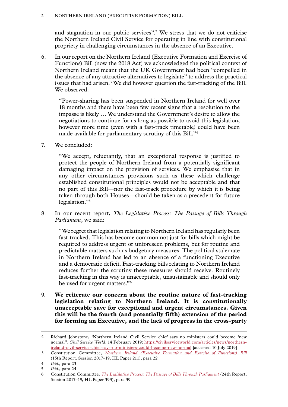#### 2 Northern Ireland (Executive Formation) Bill

and stagnation in our public services".2 We stress that we do not criticise the Northern Ireland Civil Service for operating in line with constitutional propriety in challenging circumstances in the absence of an Executive.

6. In our report on the Northern Ireland (Executive Formation and Exercise of Functions) Bill (now the 2018 Act) we acknowledged the political context of Northern Ireland meant that the UK Government had been "compelled in the absence of any attractive alternatives to legislate" to address the practical issues that had arisen.<sup>3</sup> We did however question the fast-tracking of the Bill. We observed:

"Power-sharing has been suspended in Northern Ireland for well over 18 months and there have been few recent signs that a resolution to the impasse is likely … We understand the Government's desire to allow the negotiations to continue for as long as possible to avoid this legislation, however more time (even with a fast-track timetable) could have been made available for parliamentary scrutiny of this Bill."4

7. We concluded:

"We accept, reluctantly, that an exceptional response is justified to protect the people of Northern Ireland from a potentially significant damaging impact on the provision of services. We emphasise that in any other circumstances provisions such as these which challenge established constitutional principles would not be acceptable and that no part of this Bill—nor the fast-track procedure by which it is being taken through both Houses—should be taken as a precedent for future legislation."5

8. In our recent report, *The Legislative Process: The Passage of Bills Through Parliament*, we said:

"We regret that legislation relating to Northern Ireland has regularly been fast-tracked. This has become common not just for bills which might be required to address urgent or unforeseen problems, but for routine and predictable matters such as budgetary measures. The political stalemate in Northern Ireland has led to an absence of a functioning Executive and a democratic deficit. Fast-tracking bills relating to Northern Ireland reduces further the scrutiny these measures should receive. Routinely fast-tracking in this way is unacceptable, unsustainable and should only be used for urgent matters."6

9. **We reiterate our concern about the routine nature of fast-tracking legislation relating to Northern Ireland. It is constitutionally unacceptable save for exceptional and urgent circumstances. Given this will be the fourth (and potentially fifth) extension of the period for forming an Executive, and the lack of progress in the cross-party** 

<sup>2</sup> Richard Johnstone, 'Northern Ireland Civil Service chief says no ministers could become 'new normal'', *Civil Service World*, 14 February 2019: [https://civilserviceworld.com/articles/news/northern](https://civilserviceworld.com/articles/news/northern-ireland-civil-service-chief-says-no-ministers-could-become-new-normal)[ireland-civil-service-chief-says-no-ministers-could-become-new-normal](https://civilserviceworld.com/articles/news/northern-ireland-civil-service-chief-says-no-ministers-could-become-new-normal) [accessed 10 July 2019]

<sup>3</sup> Constitution Committee, *[Northern Ireland \(Executive Formation and Exercise of Functions\) Bill](https://publications.parliament.uk/pa/ld201719/ldselect/ldconst/211/21102.htm)* (15th Report, Session 2017–19, HL Paper 211), para 22

<sup>4</sup> *Ibid*., para 23

<sup>5</sup> *Ibid*., para 24

<sup>6</sup> Constitution Committee, *[The Legislative Process: The Passage of Bills Through Parliament](https://publications.parliament.uk/pa/ld201719/ldselect/ldconst/393/39302.htm)* (24th Report, Session 2017–19, HL Paper 393), para 39